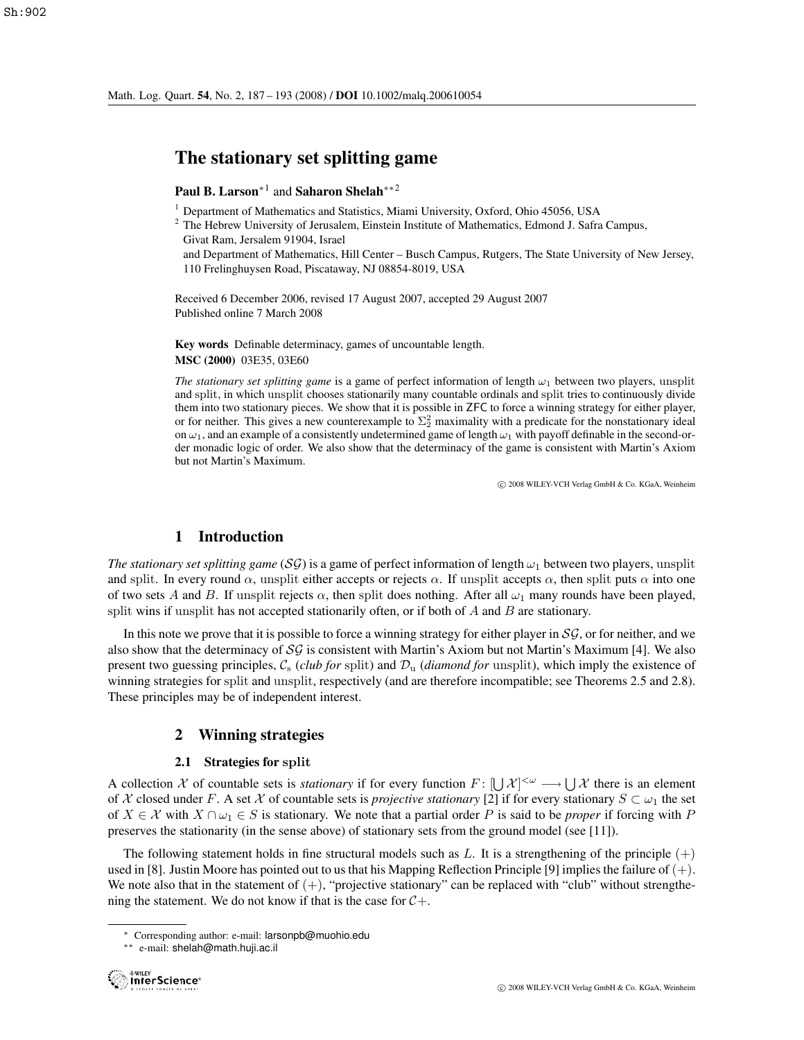# The stationary set splitting game

## Paul B. Larson<sup>∗1</sup> and Saharon Shelah<sup>∗∗2</sup>

- <sup>1</sup> Department of Mathematics and Statistics, Miami University, Oxford, Ohio 45056, USA
- $<sup>2</sup>$  The Hebrew University of Jerusalem, Einstein Institute of Mathematics, Edmond J. Safra Campus,</sup> Givat Ram, Jersalem 91904, Israel

and Department of Mathematics, Hill Center – Busch Campus, Rutgers, The State University of New Jersey, 110 Frelinghuysen Road, Piscataway, NJ 08854-8019, USA

Received 6 December 2006, revised 17 August 2007, accepted 29 August 2007 Published online 7 March 2008

Key words Definable determinacy, games of uncountable length. MSC (2000) 03E35, 03E60

*The stationary set splitting game* is a game of perfect information of length  $\omega_1$  between two players, unsplit and split, in which unsplit chooses stationarily many countable ordinals and split tries to continuously divide them into two stationary pieces. We show that it is possible in ZFC to force a winning strategy for either player, or for neither. This gives a new counterexample to  $\Sigma_2^2$  maximality with a predicate for the nonstationary ideal on  $\omega_1$ , and an example of a consistently undetermined game of length  $\omega_1$  with payoff definable in the second-order monadic logic of order. We also show that the determinacy of the game is consistent with Martin's Axiom but not Martin's Maximum.

c 2008 WILEY-VCH Verlag GmbH & Co. KGaA, Weinheim

## 1 Introduction

*The stationary set splitting game* (SG) is a game of perfect information of length  $\omega_1$  between two players, unsplit and split. In every round  $\alpha$ , unsplit either accepts or rejects  $\alpha$ . If unsplit accepts  $\alpha$ , then split puts  $\alpha$  into one of two sets A and B. If unsplit rejects  $\alpha$ , then split does nothing. After all  $\omega_1$  many rounds have been played, split wins if unsplit has not accepted stationarily often, or if both of  $A$  and  $B$  are stationary.

In this note we prove that it is possible to force a winning strategy for either player in  $SG$ , or for neither, and we also show that the determinacy of  $S\mathcal{G}$  is consistent with Martin's Axiom but not Martin's Maximum [4]. We also present two guessing principles,  $C_s$  (*club for* split) and  $D_u$  (*diamond for* unsplit), which imply the existence of winning strategies for split and unsplit, respectively (and are therefore incompatible; see Theorems 2.5 and 2.8). These principles may be of independent interest.

### 2 Winning strategies

### 2.1 Strategies for **split**

A collection X of countable sets is *stationary* if for every function  $F: [\bigcup \mathcal{X}]^{<\omega} \longrightarrow \bigcup \mathcal{X}$  there is an element of X closed under  $F$ . A set X of countable sets is *projective stationary* [2] if for every station of X closed under F. A set X of countable sets is *projective stationary* [2] if for every stationary  $S \subset \omega_1$  the set of  $X \in \mathcal{X}$  with  $X \cap \omega_1 \in S$  is stationary. We note that a partial order P is said to be *proper* if forcing with P preserves the stationarity (in the sense above) of stationary sets from the ground model (see [11]).

The following statement holds in fine structural models such as L. It is a strengthening of the principle  $(+)$ used in [8]. Justin Moore has pointed out to us that his Mapping Reflection Principle [9] implies the failure of  $(+)$ . We note also that in the statement of  $(+)$ , "projective stationary" can be replaced with "club" without strengthening the statement. We do not know if that is the case for  $C_{+}$ .

<sup>∗</sup> Corresponding author: e-mail: larsonpb@muohio.edu

<sup>∗∗</sup> e-mail: shelah@math.huji.ac.il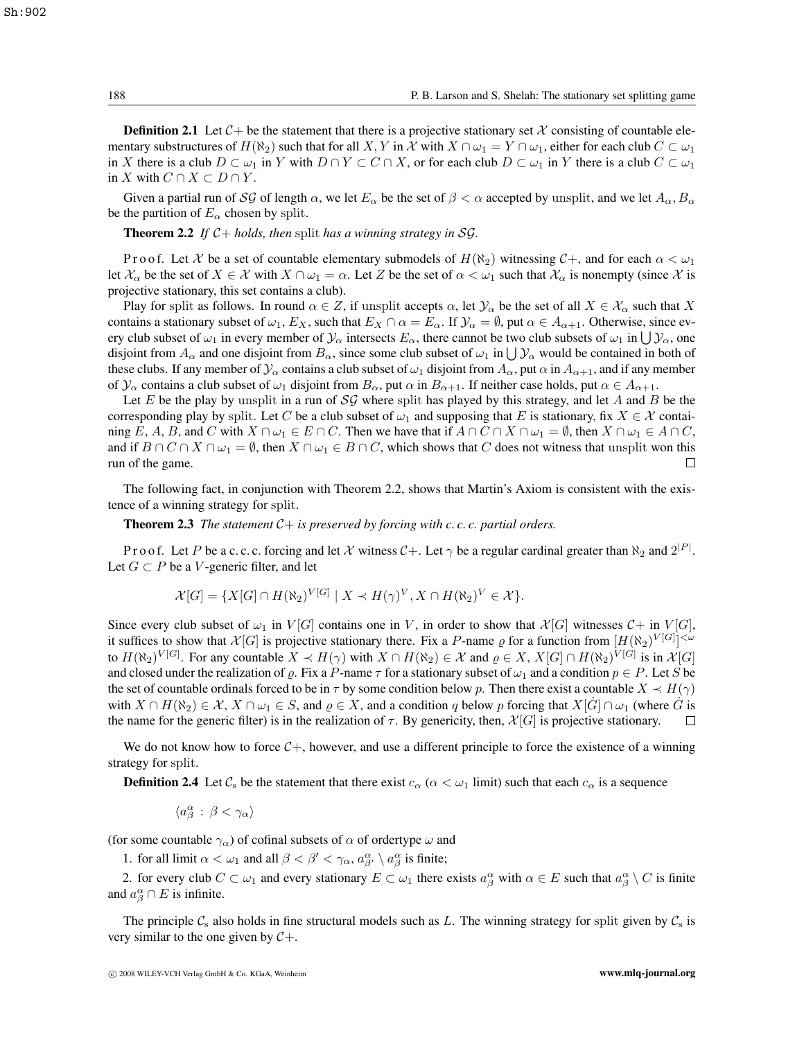**Definition 2.1** Let  $C$  + be the statement that there is a projective stationary set X consisting of countable elementary substructures of  $H(\aleph_2)$  such that for all X, Y in X with  $X \cap \omega_1 = Y \cap \omega_1$ , either for each club  $C \subset \omega_1$ in X there is a club  $D \subset \omega_1$  in Y with  $D \cap Y \subset C \cap X$ , or for each club  $D \subset \omega_1$  in Y there is a club  $C \subset \omega_1$ in X with  $C \cap X \subset D \cap Y$ .

Given a partial run of SG of length  $\alpha$ , we let  $E_\alpha$  be the set of  $\beta < \alpha$  accepted by unsplit, and we let  $A_\alpha, B_\alpha$ be the partition of  $E_\alpha$  chosen by split.

**Theorem 2.2** *If*  $C+$  *holds, then* split *has a winning strategy in*  $SG$ *.* 

P r o o f. Let X be a set of countable elementary submodels of  $H(\aleph_2)$  witnessing  $C_+$ , and for each  $\alpha < \omega_1$ let  $\mathcal{X}_{\alpha}$  be the set of  $X \in \mathcal{X}$  with  $X \cap \omega_1 = \alpha$ . Let Z be the set of  $\alpha < \omega_1$  such that  $\mathcal{X}_{\alpha}$  is nonempty (since X is projective stationary, this set contains a club).

Play for split as follows. In round  $\alpha \in Z$ , if unsplit accepts  $\alpha$ , let  $\mathcal{Y}_\alpha$  be the set of all  $X \in \mathcal{X}_\alpha$  such that X contains a stationary subset of  $\omega_1$ ,  $E_X$ , such that  $E_X \cap \alpha = E_\alpha$ . If  $\mathcal{Y}_\alpha = \emptyset$ , put  $\alpha \in A_{\alpha+1}$ . Otherwise, since every club subset of  $\omega_1$  in every member of  $\mathcal{Y}_\alpha$  intersects  $E_\alpha$ , there cannot be two club subsets of  $\omega_1$  in  $\bigcup \mathcal{Y}_\alpha$ , one disjoint from  $A_\alpha$  and one disjoint from  $B_\alpha$ , since some club subset of  $\omega_1$  in  $\bigcup \mathcal{Y}_\alpha$  would be contained in both of these clubs. If any member of  $\mathcal{Y}_\alpha$  contains a club subset of  $\omega_1$  disjoint from  $A_\alpha$ , put  $\alpha$  in  $A_{\alpha+1}$ , and if any member of  $\mathcal{Y}_\alpha$  contains a club subset of  $\omega_1$  disjoint from  $B_\alpha$ , put  $\alpha$  in  $B_{\alpha+1}$ . If neither case holds, put  $\alpha \in A_{\alpha+1}$ .

Let E be the play by unsplit in a run of  $\mathcal{SG}$  where split has played by this strategy, and let A and B be the corresponding play by split. Let C be a club subset of  $\omega_1$  and supposing that E is stationary, fix  $X \in \mathcal{X}$  containing E, A, B, and C with  $X \cap \omega_1 \in E \cap C$ . Then we have that if  $A \cap C \cap X \cap \omega_1 = \emptyset$ , then  $X \cap \omega_1 \in A \cap C$ , and if  $B \cap C \cap X \cap \omega_1 = \emptyset$ , then  $X \cap \omega_1 \in B \cap C$ , which shows that C does not witness that unsplit won this run of the game. run of the game.

The following fact, in conjunction with Theorem 2.2, shows that Martin's Axiom is consistent with the existence of a winning strategy for split.

**Theorem 2.3** *The statement*  $C +$  *is preserved by forcing with c. c. c. partial orders.* 

P r o o f. Let P be a c. c. c. forcing and let X witness  $C+$ . Let  $\gamma$  be a regular cardinal greater than  $\aleph_2$  and  $2^{|P|}$ . Let  $G \subset P$  be a V-generic filter, and let

$$
\mathcal{X}[G] = \{ X[G] \cap H(\aleph_2)^{V[G]} \mid X \prec H(\gamma)^V, X \cap H(\aleph_2)^V \in \mathcal{X} \}.
$$

Since every club subset of  $\omega_1$  in  $V[G]$  contains one in V, in order to show that  $\mathcal{X}[G]$  witnesses  $\mathcal{C}+$  in  $V[G]$ , it suffices to show that  $\mathcal{X}[G]$  is projective stationary there. Fix a P-name  $\varrho$  for a function from  $[H(\aleph_2)^{V[G]}] \leq \kappa$ <br>to  $H(\aleph_2)^{V[G]}$ . For any countable  $X \sim H(\alpha)$  with  $X \cap H(\aleph_2) \in \mathcal{X}$  and  $\varrho \in X$ ,  $X[G] \cap H$ to  $H(\aleph_2)^{V[G]}$ . For any countable  $X \prec H(\gamma)$  with  $X \cap H(\aleph_2) \in \mathcal{X}$  and  $\varrho \in X$ ,  $X[G] \cap H(\aleph_2)^{V[G]}$  is in  $\mathcal{X}[G]$ <br>and closed under the realization of  $\varrho$ . Fix a *P*-name  $\tau$  for a stationary subset of  $\omega_1$  an and closed under the realization of  $\varrho$ . Fix a P-name  $\tau$  for a stationary subset of  $\omega_1$  and a condition  $p \in P$ . Let S be the set of countable ordinals forced to be in  $\tau$  by some condition below p. Then there exist a countable  $X \prec H(\gamma)$ with  $X \cap H(\aleph_2) \in \mathcal{X}, X \cap \omega_1 \in S$ , and  $\varrho \in X$ , and a condition q below p forcing that  $X[\hat{G}] \cap \omega_1$  (where  $\hat{G}$  is the name for the generic filter) is in the realization of  $\tau$ . By genericity, then,  $\mathcal{X}[G]$  is the name for the generic filter) is in the realization of  $\tau$ . By genericity, then,  $\mathcal{X}[G]$  is projective stationary.

We do not know how to force  $C_+$ , however, and use a different principle to force the existence of a winning strategy for split.

**Definition 2.4** Let  $\mathcal{C}_s$  be the statement that there exist  $c_\alpha$  ( $\alpha < \omega_1$  limit) such that each  $c_\alpha$  is a sequence

$$
\langle a^\alpha_\beta \,:\,\beta<\gamma_\alpha\rangle
$$

(for some countable  $\gamma_{\alpha}$ ) of cofinal subsets of  $\alpha$  of ordertype  $\omega$  and

1. for all limit  $\alpha < \omega_1$  and all  $\beta < \beta' < \gamma_\alpha$ ,  $a_{\beta}^\alpha \setminus a_{\beta}^\alpha$  is finite;

2. for every club  $C \subset \omega_1$  and every stationary  $E \subset \omega_1$  there exists  $a_\beta^\alpha$  with  $\alpha \in E$  such that  $a_\beta^\alpha \setminus C$  is finite and  $a_{\beta}^{\alpha} \cap E$  is infinite.

The principle  $C_s$  also holds in fine structural models such as L. The winning strategy for split given by  $C_s$  is very similar to the one given by  $C_{+}$ .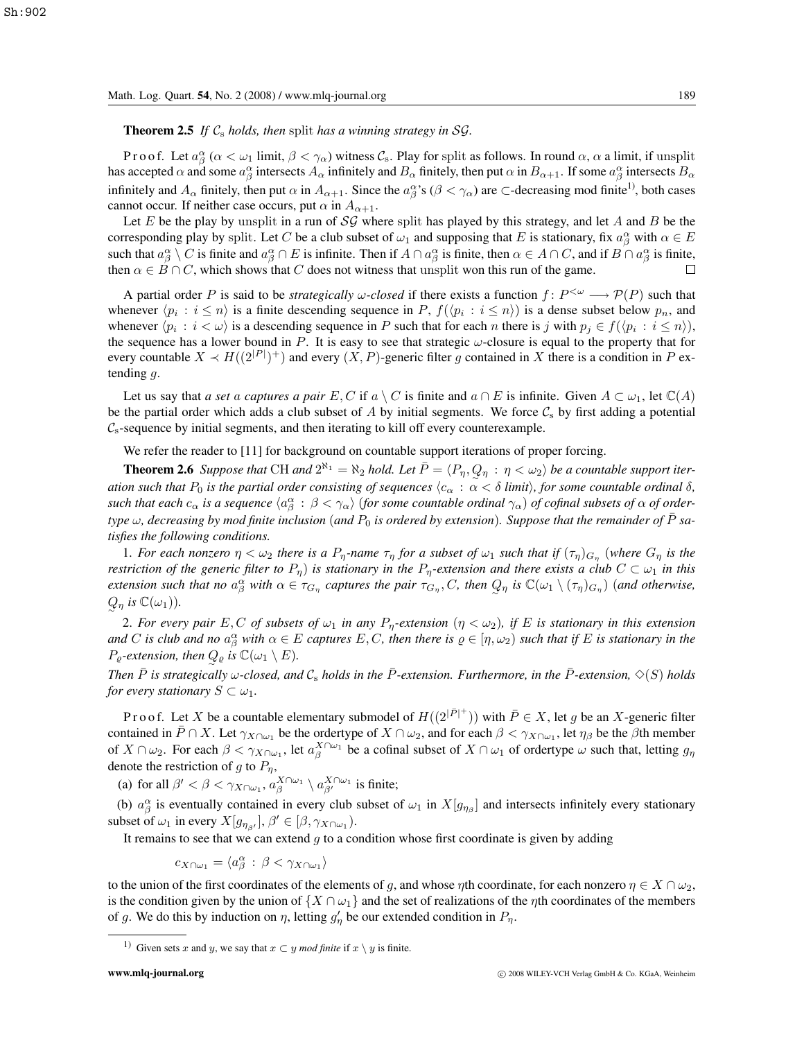**Theorem 2.5** If  $C_s$  *holds, then* split *has a winning strategy in*  $SG$ *.* 

P r o o f. Let  $a_{\beta}^{\alpha}$  ( $\alpha < \omega_1$  limit,  $\beta < \gamma_{\alpha}$ ) witness  $\mathcal{C}_s$ . Play for split as follows. In round  $\alpha$ ,  $\alpha$  a limit, if unsplit as accepted  $\alpha$  and some  $a^{\alpha}$  intersects  $A$  infinitely and  $B$  finitely has accepted  $\alpha$  and some  $a_{\beta}^{\alpha}$  intersects  $A_{\alpha}$  infinitely and  $B_{\alpha}$  finitely, then put  $\alpha$  in  $B_{\alpha+1}$ . If some  $a_{\beta}^{\alpha}$  intersects  $B_{\alpha}$ infinitely and  $A_{\alpha}$  finitely, then put  $\alpha$  in  $A_{\alpha+1}$ . Since the  $a_{\beta}^{\alpha}$ 's ( $\beta < \gamma_{\alpha}$ ) are  $\subset$ -decreasing mod finite<sup>1)</sup>, both cases cannot occur. If neither case occurs, put  $\alpha$  in  $A_{\alpha+1}$ .

Let E be the play by unsplit in a run of  $\mathcal{SG}$  where split has played by this strategy, and let A and B be the corresponding play by split. Let C be a club subset of  $\omega_1$  and supposing that E is stationary, fix  $a_{\beta}^{\alpha}$  with  $\alpha \in E$ <br>such that  $a^{\alpha} \setminus C$  is finite and  $a^{\alpha} \cap E$  is infinite. Then if  $A \cap a^{\alpha}$  is finite, then such that  $a_{\beta}^{\alpha} \setminus C$  is finite and  $a_{\beta}^{\alpha} \cap E$  is infinite. Then if  $A \cap a_{\beta}^{\alpha}$  is finite, then  $\alpha \in A \cap C$ , and if  $B \cap a_{\beta}^{\alpha}$  is finite, then  $\alpha \in B \cap C$  which shows that  $C$  does not witness that upsplit wo then  $\alpha \in B \cap C$ , which shows that C does not witness that unsplit won this run of the game.  $\Box$ 

A partial order P is said to be *strategically*  $\omega$ -closed if there exists a function  $f: P^{\leq \omega} \longrightarrow P(P)$  such that whenever  $\langle p_i : i \leq n \rangle$  is a finite descending sequence in P,  $f(\langle p_i : i \leq n \rangle)$  is a dense subset below  $p_n$ , and whenever  $\langle p_i : i < \omega \rangle$  is a descending sequence in P such that for each n there is j with  $p_i \in f(\langle p_i : i \leq n \rangle)$ , the sequence has a lower bound in P. It is easy to see that strategic  $\omega$ -closure is equal to the property that for every countable  $X \prec H((2^{|P|})^+)$  and every  $(X, P)$ -generic filter g contained in X there is a condition in P extending g. tending  $q$ .

Let us say that *a set a captures a pair* E, C if  $a \setminus C$  is finite and  $a \cap E$  is infinite. Given  $A \subset \omega_1$ , let  $\mathbb{C}(A)$ be the partial order which adds a club subset of A by initial segments. We force  $C_s$  by first adding a potential  $\mathcal{C}_s$ -sequence by initial segments, and then iterating to kill off every counterexample.

We refer the reader to [11] for background on countable support iterations of proper forcing.

**Theorem 2.6** *Suppose that* CH *and*  $2^{\aleph_1} = \aleph_2$  *hold. Let*  $\overline{P} = \langle P_\eta, Q_\eta : \eta < \omega_2 \rangle$  *be a countable support iter-*<br>an auch that  $P_\eta$  is the partial ander consisting of assumpses  $\langle \xi, \chi \xi \xi \rangle$  limit), for so *ation such that*  $P_0$  *is the partial order consisting of sequences*  $\langle c_\alpha : \alpha < \delta \text{ limit} \rangle$ *, for some countable ordinal*  $\delta$ *,*  $such$  *that each*  $c_{\alpha}$  *is a sequence*  $\langle a_{\beta}^{\alpha} : \beta < \gamma_{\alpha} \rangle$  (*for some countable ordinal*  $\gamma_{\alpha}$ ) *of cofinal subsets of*  $\alpha$  *of order-*<br>time is degreesing by mod finite inclusion (and B) is ordered by ortensio *type*  $\omega$ , decreasing by mod finite inclusion (and  $P_0$  is ordered by extension). Suppose that the remainder of  $\bar{P}$  sa*tisfies the following conditions.*

1. For each nonzero  $\eta < \omega_2$  there is a  $P_n$ -name  $\tau_n$  for a subset of  $\omega_1$  such that if  $(\tau_n)_{G_n}$  (where  $G_n$  is the *restriction of the generic filter to*  $P_{\eta}$ ) *is stationary in the*  $P_{\eta}$ -extension and there exists a club  $C \subset \omega_1$  *in this extension such that no*  $a_{\beta}^{\alpha}$  *with*  $\alpha \in \tau_{G_{\eta}}$  *captures the pair*  $\tau_{G_{\eta}}$ , *C*, *then*  $Q_{\eta}$  *is*  $\mathbb{C}(\omega_1 \setminus (\tau_{\eta})_{G_{\eta}})$  (*and otherwise*,  $Q_{\eta}$  *is*  $\mathbb{C}(\omega_1)$ *)*.

2. For every pair E, C of subsets of  $\omega_1$  in any  $P_\eta$ -extension  $(\eta < \omega_2)$ , if E is stationary in this extension *and* C is club and no  $a_{\beta}^{\alpha}$  with  $\alpha \in E$  captures E, C, then there is  $\varrho \in [\eta, \omega_2)$  such that if E is stationary in the  $P_{\varrho}$ -extension, then  $Q_{\varrho}$  is  $\mathbb{C}(\omega_1 \setminus E)$ .

*Then*  $\bar{P}$  *is strategically*  $\omega$ -*closed, and*  $C_s$  *holds in the*  $\bar{P}$ -extension. Furthermore, in the  $\bar{P}$ -extension,  $\Diamond$ (S) *holds for every stationary*  $S \subset \omega_1$ *.* 

P r o o f. Let X be a countable elementary submodel of  $H((2^{|\bar{P}|^+}))$  with  $\bar{P} \in X$ , let g be an X-generic filter thanks that  $\bar{P} \cap X$ . Let  $\alpha_{X,Y}$  be the order type of  $X \cap \omega_0$  and for each  $\beta \leq \alpha_{X,Y}$ . Let  $\alpha_0$ contained in  $\overline{P} \cap X$ . Let  $\gamma_{X \cap \omega_1}$  be the ordertype of  $X \cap \omega_2$ , and for each  $\beta < \gamma_{X \cap \omega_1}$ , let  $\eta_{\beta}$  be the  $\beta$ th member of  $X \cap \omega_2$ . For each  $\beta < \gamma_{X \cap \omega_1}$ , let  $a_{\beta}^{X \cap \omega_1}$  be a cofinal subset of  $X \cap \omega_1$  of ordertype  $\omega$  such that, letting  $g_{\eta}$ denote the restriction of g to  $P_{\eta}$ ,

(a) for all  $\beta' < \beta < \gamma_{X\cap \omega_1}$ ,  $a_{\beta}^{X\cap \omega_1} \setminus a_{\beta'}^{X\cap \omega_1}$  is finite;

(b)  $a_{\beta}^{\alpha}$  is eventually contained in every club subset of  $\omega_1$  in  $X[g_{\eta_{\beta}}]$  and intersects infinitely every stationary subset of  $\omega_1$  in every  $X[g_{\eta_{\beta'}}], \beta' \in [\beta, \gamma_{X \cap \omega_1})$ .<br>It remains to see that we can extend a to a co-

It remains to see that we can extend  $g$  to a condition whose first coordinate is given by adding

$$
c_{X\cap\omega_1}=\langle a_{\beta}^{\alpha}:\,\beta<\gamma_{X\cap\omega_1}\rangle
$$

to the union of the first coordinates of the elements of g, and whose  $\eta$ th coordinate, for each nonzero  $\eta \in X \cap \omega_2$ , is the condition given by the union of  $\{X \cap \omega_1\}$  and the set of realizations of the  $\eta$ th coordinates of the members of g. We do this by induction on  $\eta$ , letting  $g'_\eta$  be our extended condition in  $P_\eta$ .

<sup>&</sup>lt;sup>1)</sup> Given sets x and y, we say that  $x \subset y$  *mod finite* if  $x \setminus y$  is finite.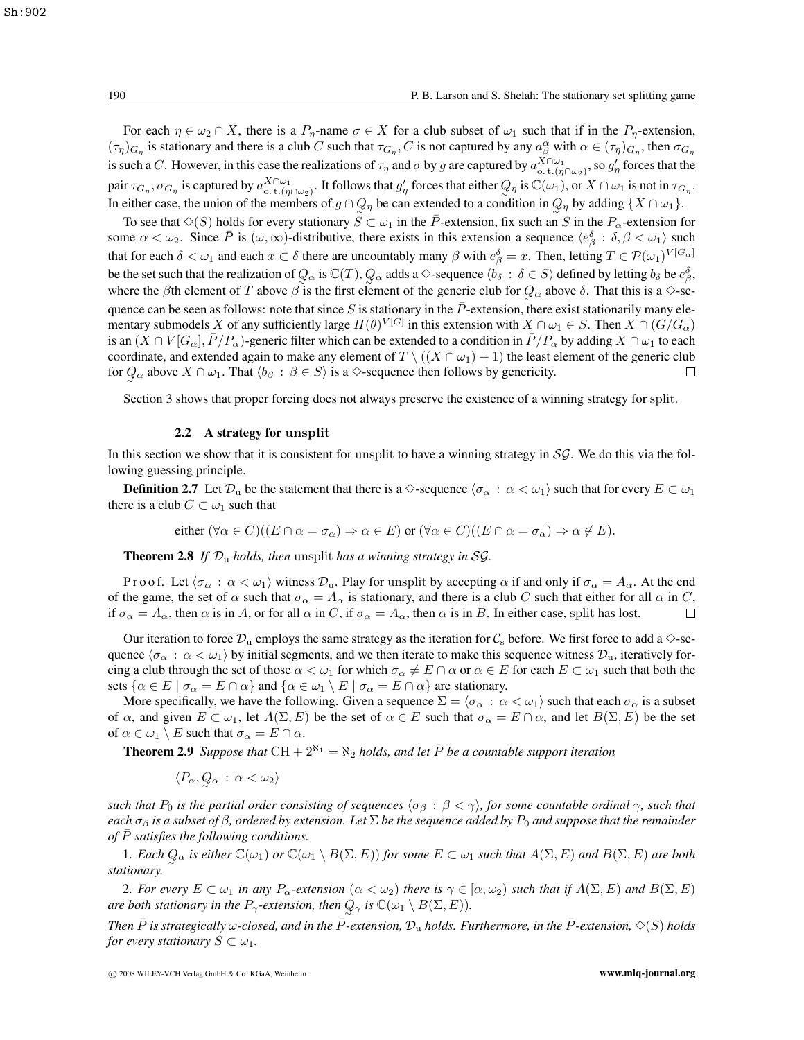For each  $\eta \in \omega_2 \cap X$ , there is a  $P_\eta$ -name  $\sigma \in X$  for a club subset of  $\omega_1$  such that if in the  $P_\eta$ -extension,  $(\tau_{\eta})_{G_{\eta}}$  is stationary and there is a club C such that  $\tau_{G_{\eta}}, C$  is not captured by any  $a^{\alpha}_{\beta}$  with  $\alpha \in (\tau_{\eta})_{G_{\eta}}$ , then  $\sigma_{G_{\eta}}$ is such a C. However, in this case the realizations of  $\tau_{\eta}$  and  $\sigma$  by g are captured by  $a_{\text{t.}(\eta\cap\omega_2)}^{X\cap\omega_1}$ , so  $g'_{\eta}$  forces that the pair  $\tau_{G_\eta}, \sigma_{G_\eta}$  is captured by  $a_{\text{o},t}^{X\cap\omega_1}$ . It follows that  $g'_\eta$  forces that either  $Q_\eta$  is  $\mathbb{C}(\omega_1)$ , or  $X\cap\omega_1$  is not in  $\tau_{G_\eta}$ .<br>In either sees, the union of the graphers of eQQ, he see autord In either case, the union of the members of  $g \cap Q_\eta$  be can extended to a condition in  $Q_\eta$  by adding  $\{X \cap \omega_1\}$ .<br>
∴ To see that  $\hat{\wedge}(\hat{C})$  halds for such a triangual  $\hat{C} \subset \omega$  in the  $\bar{D}$  extension for such a

To see that  $\Diamond$ (S) holds for every stationary  $S \subset \omega_1$  in the P-extension, fix such an S in the  $P_\alpha$ -extension for some  $\alpha < \omega_2$ . Since  $\overline{P}$  is  $(\omega, \infty)$ -distributive, there exists in this extension a sequence  $\langle e^{\beta}_{\beta} : \delta, \beta < \omega_1 \rangle$  such that for each such a sequence  $\langle e^{\beta}_{\beta} : \delta, \beta < \omega_1 \rangle$  such that for each such a sequence that for each  $\delta < \omega_1$  and each  $x \in \delta$  there are uncountably many  $\beta$  with  $e_{\beta}^{\delta} = x$ . Then, letting  $T \in \mathcal{P}(\omega_1)^{V[G_{\alpha}]}$ be the set such that the realization of  $Q_{\alpha}$  is  $\mathbb{C}(T)$ ,  $Q_{\alpha}$  adds a  $\diamond$ -sequence  $\langle b_{\delta} : \delta \in S \rangle$  defined by letting  $b_{\delta}$  be  $e_{\beta}^{\delta}$ , where the βth element of T above β is the first element of the generic club for  $Q_{\alpha}$  above δ. That this is a  $\Diamond$ -sequence can be seen as follows: note that since S is stationary in the  $\bar{P}$ -extension, there exist stationarily many elementary submodels X of any sufficiently large  $H(\theta)^{V[G]}$  in this extension with  $X \cap \omega_1 \in S$ . Then  $X \cap (G/G_\alpha)$ is an  $(X \cap V[G_\alpha], \overline{P}/P_\alpha$ )-generic filter which can be extended to a condition in  $\overline{P}/P_\alpha$  by adding  $X \cap \omega_1$  to each coordinate, and extended again to make any element of  $T \setminus ((X \cap \omega_1) + 1)$  the least element of the generic club for  $O_{\alpha}$  above  $X \cap \omega_1$ . That  $\langle b_{\alpha} : \beta \in S \rangle$  is a  $\diamond$ -sequence then follows by genericity. for  $Q_{\alpha}$  above  $X \cap \omega_1$ . That  $\langle b_{\beta} : \beta \in S \rangle$  is a  $\diamond$ -sequence then follows by genericity.

Section 3 shows that proper forcing does not always preserve the existence of a winning strategy for split.

### 2.2 A strategy for **unsplit**

In this section we show that it is consistent for unsplit to have a winning strategy in  $S\mathcal{G}$ . We do this via the following guessing principle.

**Definition 2.7** Let  $\mathcal{D}_u$  be the statement that there is a  $\Diamond$ -sequence  $\langle \sigma_\alpha : \alpha < \omega_1 \rangle$  such that for every  $E \subset \omega_1$ there is a club  $C \subset \omega_1$  such that

either 
$$
(\forall \alpha \in C)((E \cap \alpha = \sigma_{\alpha}) \Rightarrow \alpha \in E)
$$
 or  $(\forall \alpha \in C)((E \cap \alpha = \sigma_{\alpha}) \Rightarrow \alpha \notin E)$ .

**Theorem 2.8** If  $\mathcal{D}_u$  *holds, then* unsplit *has a winning strategy in* SG.

P r o o f. Let  $\langle \sigma_\alpha : \alpha < \omega_1 \rangle$  witness  $\mathcal{D}_u$ . Play for unsplit by accepting  $\alpha$  if and only if  $\sigma_\alpha = A_\alpha$ . At the end of the game, the set of  $\alpha$  such that  $\sigma_{\alpha} = A_{\alpha}$  is stationary, and there is a club C such that either for all  $\alpha$  in C, if  $\sigma_{\alpha} = A_{\alpha}$ , then  $\alpha$  is in A, or for all  $\alpha$  in C, if  $\sigma_{\alpha} = A_{\alpha}$ , then  $\alpha$  is in if  $\sigma_{\alpha} = A_{\alpha}$ , then  $\alpha$  is in A, or for all  $\alpha$  in C, if  $\sigma_{\alpha} = A_{\alpha}$ , then  $\alpha$  is in B. In either case, split has lost.

Our iteration to force  $\mathcal{D}_u$  employs the same strategy as the iteration for  $\mathcal{C}_s$  before. We first force to add a  $\diamond$ -sequence  $\langle \sigma_\alpha : \alpha < \omega_1 \rangle$  by initial segments, and we then iterate to make this sequence witness  $\mathcal{D}_u$ , iteratively forcing a club through the set of those  $\alpha < \omega_1$  for which  $\sigma_\alpha \neq E \cap \alpha$  or  $\alpha \in E$  for each  $E \subset \omega_1$  such that both the sets  $\{\alpha \in E \mid \sigma_{\alpha} = E \cap \alpha\}$  and  $\{\alpha \in \omega_1 \setminus E \mid \sigma_{\alpha} = E \cap \alpha\}$  are stationary.

More specifically, we have the following. Given a sequence  $\Sigma = \langle \sigma_\alpha : \alpha < \omega_1 \rangle$  such that each  $\sigma_\alpha$  is a subset of  $\alpha$ , and given  $E \subset \omega_1$ , let  $A(\Sigma, E)$  be the set of  $\alpha \in E$  such that  $\sigma_\alpha = E \cap \alpha$ , and let  $B(\Sigma, E)$  be the set of  $\alpha \in \omega_1 \setminus E$  such that  $\sigma_{\alpha} = E \cap \alpha$ .

**Theorem 2.9** *Suppose that*  $CH + 2^{\aleph_1} = \aleph_2$  *holds, and let*  $\overline{P}$  *be a countable support iteration* 

$$
\langle P_\alpha, Q_\alpha : \alpha < \omega_2 \rangle
$$

*such that*  $P_0$  *is the partial order consisting of sequences*  $\langle \sigma_\beta : \beta < \gamma \rangle$ *, for some countable ordinal*  $\gamma$ *, such that each*  $\sigma_\beta$  *is a subset of*  $\beta$ *, ordered by extension. Let*  $\Sigma$  *be the sequence added by*  $P_0$  *and suppose that the remainder of* P¯ *satisfies the following conditions.*

1. *Each*  $Q_{\alpha}$  *is either*  $\mathbb{C}(\omega_1)$  *or*  $\mathbb{C}(\omega_1 \setminus B(\Sigma, E))$  *for some*  $E \subset \omega_1$  *such that*  $A(\Sigma, E)$  *and*  $B(\Sigma, E)$  *are both tionary stationary.*

2. For every  $E \subset \omega_1$  in any  $P_\alpha$ -extension  $(\alpha < \omega_2)$  there is  $\gamma \in [\alpha, \omega_2)$  such that if  $A(\Sigma, E)$  and  $B(\Sigma, E)$ *are both stationary in the*  $P_{\gamma}$ -extension, then  $Q_{\gamma}$  *is*  $\mathbb{C}(\omega_1 \setminus B(\Sigma, E))$ .

*Then*  $\bar{P}$  *is strategically*  $\omega$ *-closed, and in the*  $\bar{P}$ *-extension,*  $\mathcal{D}_u$  *holds. Furthermore, in the*  $\bar{P}$ *-extension,*  $\Diamond$ (S) *holds for every stationary*  $S \subset \omega_1$ *.*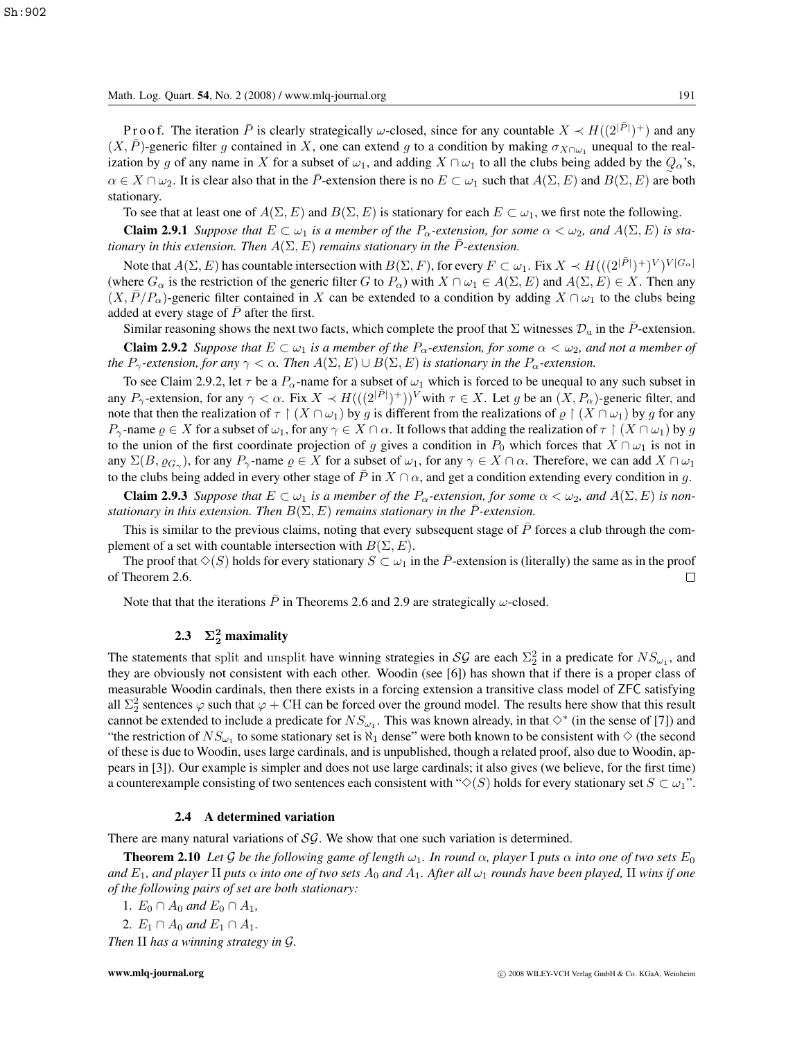Math. Log. Quart. **54**, No. 2 (2008) / www.mlq-journal.org 191

P r o o f. The iteration  $\overline{P}$  is clearly strategically  $\omega$ -closed, since for any countable  $X \prec H((2|\overline{P}|)^+)$  and any  $\overline{P}$ )-generic filter a contained in X, one can extend a to a condition by making  $\sigma_{XQ}$ , unequ  $(X, \overline{P})$ -generic filter g contained in X, one can extend g to a condition by making  $\sigma_{X\cap\omega_1}$  unequal to the realization by g of any name in X for a subset of  $\omega_1$ , and adding  $X \cap \omega_1$  to all the clubs being added by the  $Q_\alpha$ 's,  $\alpha \in X \cap \omega_2$ . It is clear also that in the  $\overline{P}$ -extension there is no  $E \subset \omega_1$  such that  $A(\Sigma, E)$  and  $B(\Sigma, E)$  are both stationary.

To see that at least one of  $A(\Sigma, E)$  and  $B(\Sigma, E)$  is stationary for each  $E \subset \omega_1$ , we first note the following.

**Claim 2.9.1** *Suppose that*  $E \subset \omega_1$  *is a member of the*  $P_\alpha$ -extension, for some  $\alpha < \omega_2$ , and  $A(\Sigma, E)$  is sta*tionary in this extension. Then*  $A(\Sigma, E)$  *remains stationary in the*  $\overline{P}$ *-extension.* 

Note that  $A(\Sigma, E)$  has countable intersection with  $B(\Sigma, F)$ , for every  $F \subset \omega_1$ . Fix  $X \prec H((2^{|F|})^+)^V)^{V[G_\alpha]}$ <br>here  $G$  is the restriction of the generic filter  $G$  to  $P$  ) with  $X \cap \omega_1 \in A(\Sigma, F)$  and  $A(\Sigma, F) \in X$ . Then an (where  $G_{\alpha}$  is the restriction of the generic filter G to  $P_{\alpha}$ ) with  $X \cap \omega_1 \in A(\Sigma, E)$  and  $A(\Sigma, E) \in X$ . Then any  $(X, \overline{P}/P_{\alpha})$ -generic filter contained in X can be extended to a condition by adding  $X \cap \omega_1$  to the clubs being added at every stage of  $\overline{P}$  after the first.

Similar reasoning shows the next two facts, which complete the proof that  $\Sigma$  witnesses  $\mathcal{D}_u$  in the P-extension. **Claim 2.9.2** *Suppose that*  $E \subset \omega_1$  *is a member of the*  $P_\alpha$ -extension, for some  $\alpha < \omega_2$ , and not a member of *the*  $P_\gamma$ -extension, for any  $\gamma < \alpha$ . Then  $A(\Sigma, E) \cup B(\Sigma, E)$  is stationary in the  $P_\alpha$ -extension.

To see Claim 2.9.2, let  $\tau$  be a  $P_\alpha$ -name for a subset of  $\omega_1$  which is forced to be unequal to any such subset in any  $P_{\gamma}$ -extension, for any  $\gamma < \alpha$ . Fix  $X \prec H((2|\bar{P}|^+))^V$  with  $\tau \in X$ . Let g be an  $(X, P_{\alpha})$ -generic filter, and note that then the realization of  $\tau \restriction (X \cap \omega_1)$  by g is different from the realizations of  $\rho \restriction (X \cap \omega_1)$  by g for any P<sub>γ</sub>-name  $\rho \in X$  for a subset of  $\omega_1$ , for any  $\gamma \in X \cap \alpha$ . It follows that adding the realization of  $\tau \restriction (X \cap \omega_1)$  by g to the union of the first coordinate projection of g gives a condition in  $P_0$  which forces that  $X \cap \omega_1$  is not in any  $\Sigma(B, \varrho_{G_\gamma})$ , for any  $P_\gamma$ -name  $\varrho \in X$  for a subset of  $\omega_1$ , for any  $\gamma \in X \cap \alpha$ . Therefore, we can add  $X \cap \omega_1$ to the clubs being added in every other stage of  $\bar{P}$  in  $X \cap \alpha$ , and get a condition extending every condition in g.

**Claim 2.9.3** *Suppose that*  $E \subset \omega_1$  *is a member of the*  $P_\alpha$ -extension, for some  $\alpha < \omega_2$ , and  $A(\Sigma, E)$  *is nonstationary in this extension. Then*  $B(\Sigma, E)$  *remains stationary in the*  $\overline{P}$ *-extension.* 

This is similar to the previous claims, noting that every subsequent stage of  $\bar{P}$  forces a club through the complement of a set with countable intersection with  $B(\Sigma, E)$ .

The proof that  $\Diamond$ (S) holds for every stationary  $S \subset \omega_1$  in the  $\overline{P}$ -extension is (literally) the same as in the proof Theorem 2.6. of Theorem 2.6.

Note that that the iterations  $\bar{P}$  in Theorems 2.6 and 2.9 are strategically  $\omega$ -closed.

# 2.3  $\Sigma_2^2$  maximality

The statements that split and unsplit have winning strategies in SG are each  $\Sigma_2^2$  in a predicate for  $NS_{\omega_1}$ , and they are obviously not consistent with each other. Woodin (see [61) has shown that if there is a prop they are obviously not consistent with each other. Woodin (see [6]) has shown that if there is a proper class of measurable Woodin cardinals, then there exists in a forcing extension a transitive class model of ZFC satisfying all  $\Sigma_2^2$  sentences  $\varphi$  such that  $\varphi$  + CH can be forced over the ground model. The results here show that this result cannot be extended to include a predicate for  $NS_{\omega_1}$ . This was known already, in that  $\diamond^*$  (in the sense of [7]) and "the restriction of  $NS_{\omega_1}$  to some stationary set is  $\aleph_1$  dense" were both known to be consistent with  $\diamond$  (the second of these is due to Woodin, uses large cardinals, and is unpublished, though a related proof, also due to Woodin, appears in [3]). Our example is simpler and does not use large cardinals; it also gives (we believe, for the first time) a counterexample consisting of two sentences each consistent with " $\diamondsuit(S)$  holds for every stationary set  $S \subset \omega_1$ ".

#### 2.4 A determined variation

There are many natural variations of  $S\mathcal{G}$ . We show that one such variation is determined.

**Theorem 2.10** *Let* G *be the following game of length*  $\omega_1$ *. In round*  $\alpha$ *, player* I *puts*  $\alpha$  *into one of two sets*  $E_0$ *and*  $E_1$ *, and player* II *puts*  $\alpha$  *into one of two sets*  $A_0$  *and*  $A_1$ *. After all*  $\omega_1$  *rounds have been played,* II *wins if one of the following pairs of set are both stationary:*

1.  $E_0 \cap A_0$  *and*  $E_0 \cap A_1$ *,* 

2.  $E_1 \cap A_0$  and  $E_1 \cap A_1$ .

*Then* II *has a winning strategy in* <sup>G</sup>*.*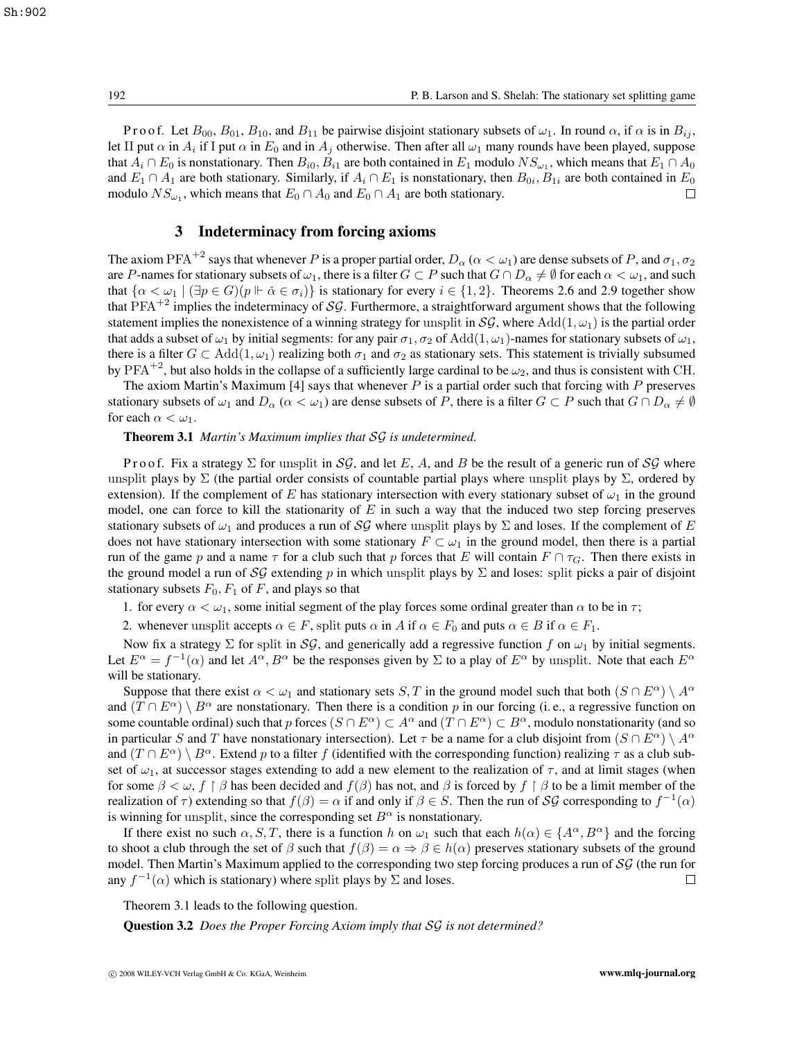Proof. Let  $B_{00}$ ,  $B_{01}$ ,  $B_{10}$ , and  $B_{11}$  be pairwise disjoint stationary subsets of  $\omega_1$ . In round  $\alpha$ , if  $\alpha$  is in  $B_{ij}$ , let II put  $\alpha$  in  $A_i$  if I put  $\alpha$  in  $E_0$  and in  $A_i$  otherwise. Then after all  $\omega_1$  many rounds have been played, suppose that  $A_i \cap E_0$  is nonstationary. Then  $B_{i0}$ ,  $B_{i1}$  are both contained in  $E_1$  modulo  $NS_{\omega_1}$ , which means that  $E_1 \cap A_0$ and  $E_1 \cap A_1$  are both stationary. Similarly, if  $A_i \cap E_1$  is nonstationary, then  $B_{0i}$ ,  $B_{1i}$  are both contained in  $E_0$  modulo  $NS_{1i}$ , which means that  $E_0 \cap A_0$  and  $E_0 \cap A_1$  are both stationary. modulo  $NS_{\omega_1}$ , which means that  $E_0 \cap A_0$  and  $E_0 \cap A_1$  are both stationary.

### 3 Indeterminacy from forcing axioms

The axiom PFA<sup>+2</sup> says that whenever P is a proper partial order,  $D_\alpha$  ( $\alpha < \omega_1$ ) are dense subsets of P, and  $\sigma_1$ ,  $\sigma_2$ are P-names for stationary subsets of  $\omega_1$ , there is a filter  $G \subset P$  such that  $G \cap D_\alpha \neq \emptyset$  for each  $\alpha < \omega_1$ , and such that  $\{\alpha < \omega_1 \mid (\exists p \in G)(p \Vdash \check{\alpha} \in \sigma_i)\}$  is stationary for every  $i \in \{1, 2\}$ . Theorems 2.6 and 2.9 together show that PFA<sup>+2</sup> implies the indeterminacy of SG. Furthermore, a straightforward argument shows that the following statement implies the nonexistence of a winning strategy for unsplit in  $SG$ , where Add(1,  $\omega_1$ ) is the partial order that adds a subset of  $\omega_1$  by initial segments: for any pair  $\sigma_1$ ,  $\sigma_2$  of Add(1,  $\omega_1$ )-names for stationary subsets of  $\omega_1$ , there is a filter  $G \subset \text{Add}(1,\omega_1)$  realizing both  $\sigma_1$  and  $\sigma_2$  as stationary sets. This statement is trivially subsumed by PFA<sup>+2</sup>, but also holds in the collapse of a sufficiently large cardinal to be  $\omega_2$ , and thus is consistent with CH.

The axiom Martin's Maximum [4] says that whenever  $P$  is a partial order such that forcing with  $P$  preserves stationary subsets of  $\omega_1$  and  $D_\alpha$  ( $\alpha < \omega_1$ ) are dense subsets of P, there is a filter  $G \subset P$  such that  $G \cap D_\alpha \neq \emptyset$ for each  $\alpha < \omega_1$ .

### Theorem 3.1 *Martin's Maximum implies that* SG *is undetermined.*

P r o o f. Fix a strategy  $\Sigma$  for unsplit in  $S\mathcal{G}$ , and let E, A, and B be the result of a generic run of  $S\mathcal{G}$  where unsplit plays by  $\Sigma$  (the partial order consists of countable partial plays where unsplit plays by  $\Sigma$ , ordered by extension). If the complement of E has stationary intersection with every stationary subset of  $\omega_1$  in the ground model, one can force to kill the stationarity of  $E$  in such a way that the induced two step forcing preserves stationary subsets of  $\omega_1$  and produces a run of SG where unsplit plays by  $\Sigma$  and loses. If the complement of E does not have stationary intersection with some stationary  $F \subset \omega_1$  in the ground model, then there is a partial run of the game p and a name  $\tau$  for a club such that p forces that E will contain  $F \cap \tau_G$ . Then there exists in the ground model a run of SG extending p in which unsplit plays by  $\Sigma$  and loses: split picks a pair of disjoint stationary subsets  $F_0$ ,  $F_1$  of F, and plays so that

1. for every  $\alpha < \omega_1$ , some initial segment of the play forces some ordinal greater than  $\alpha$  to be in  $\tau$ ;

2. whenever unsplit accepts  $\alpha \in F$ , split puts  $\alpha$  in A if  $\alpha \in F_0$  and puts  $\alpha \in B$  if  $\alpha \in F_1$ .

Now fix a strategy  $\Sigma$  for split in  $\mathcal{SG}$ , and generically add a regressive function f on  $\omega_1$  by initial segments. Let  $E^{\alpha} = f^{-1}(\alpha)$  and let  $A^{\alpha}, B^{\alpha}$  be the responses given by  $\Sigma$  to a play of  $E^{\alpha}$  by unsplit. Note that each  $E^{\alpha}$ will be stationary.

Suppose that there exist  $\alpha < \omega_1$  and stationary sets S, T in the ground model such that both  $(S \cap E^{\alpha}) \setminus A^{\alpha}$ and  $(T \cap E^{\alpha}) \setminus B^{\alpha}$  are nonstationary. Then there is a condition p in our forcing (i.e., a regressive function on some countable ordinal) such that p forces  $(S \cap E^{\alpha}) \subset A^{\alpha}$  and  $(T \cap E^{\alpha}) \subset B^{\alpha}$ , modulo nonstationarity (and so in particular S and T have nonstationary intersection). Let  $\tau$  be a name for a club disjoint from  $(S \cap E^{\alpha}) \setminus A^{\alpha}$ and  $(T \cap E^{\alpha}) \setminus B^{\alpha}$ . Extend p to a filter f (identified with the corresponding function) realizing  $\tau$  as a club subset of  $\omega_1$ , at successor stages extending to add a new element to the realization of  $\tau$ , and at limit stages (when for some  $\beta < \omega$ ,  $f \restriction \beta$  has been decided and  $f(\beta)$  has not, and  $\beta$  is forced by  $f \restriction \beta$  to be a limit member of the realization of  $\tau$ ) extending so that  $f(\beta) = \alpha$  if and only if  $\beta \in S$ . Then the run of SG corresponding to  $f^{-1}(\alpha)$ is winning for unsplit, since the corresponding set  $B^{\alpha}$  is nonstationary.

If there exist no such  $\alpha$ , S, T, there is a function h on  $\omega_1$  such that each  $h(\alpha) \in \{A^\alpha, B^\alpha\}$  and the forcing to shoot a club through the set of  $\beta$  such that  $f(\beta) = \alpha \Rightarrow \beta \in h(\alpha)$  preserves stationary subsets of the ground model. Then Martin's Maximum applied to the corresponding two step forcing produces a run of SG (the run for any  $f^{-1}(\alpha)$  which is stationary) where split plays by  $\Sigma$  and loses. any  $f^{-1}(\alpha)$  which is stationary) where split plays by  $\Sigma$  and loses.

Theorem 3.1 leads to the following question.

Question 3.2 *Does the Proper Forcing Axiom imply that* SG *is not determined?*